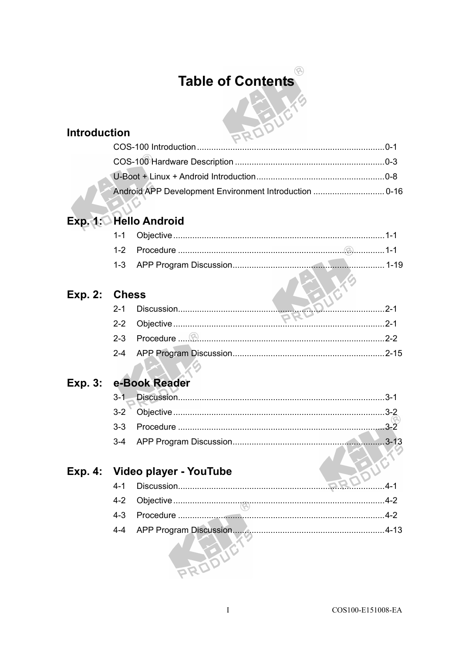# **Table of Contents**

#### **Introduction**

| ,uvii<br>PRU. |  |
|---------------|--|
|               |  |
|               |  |
|               |  |
|               |  |

### Exp. 1: Hello Android

#### Exp. 2: Chess

|  | <b><i><u>PKn</u></i></b> |  |
|--|--------------------------|--|
|  |                          |  |
|  |                          |  |

## Exp. 3: e-Book Reader

#### Exp. 4: Video player - YouTube

| $4 - 1$ |  |           |
|---------|--|-----------|
|         |  |           |
| $4 - 3$ |  |           |
|         |  | $4 - 1.3$ |
|         |  |           |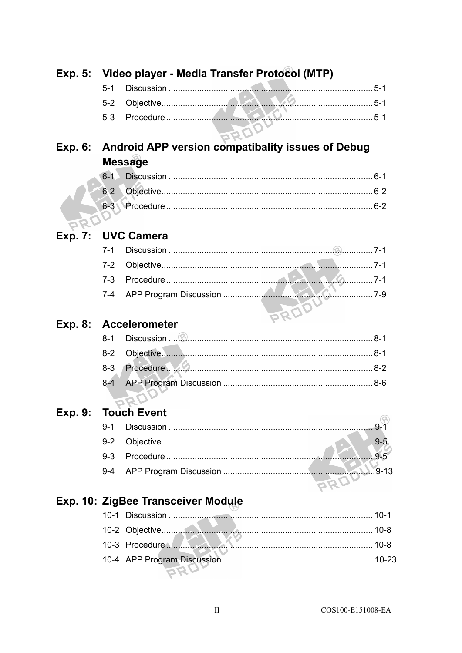|                |         | Exp. 5: Video player - Media Transfer Protocol (MTP) |  |
|----------------|---------|------------------------------------------------------|--|
|                | $5 - 1$ |                                                      |  |
|                | $5-2$   |                                                      |  |
|                | $5-3$   |                                                      |  |
|                |         |                                                      |  |
| <b>Exp. 6:</b> |         | Android APP version compatibality issues of Debug    |  |
|                |         | <b>Message</b>                                       |  |
|                | $6 - 1$ |                                                      |  |
|                | $6 - 2$ |                                                      |  |
|                |         |                                                      |  |
|                |         |                                                      |  |
| <b>Exp. 7:</b> |         | <b>UVC Camera</b>                                    |  |
|                | $7 - 1$ |                                                      |  |
|                | $7-2$   |                                                      |  |
|                | $7 - 3$ |                                                      |  |
|                | $7 - 4$ |                                                      |  |
|                |         |                                                      |  |
| <b>Exp. 8:</b> |         | <b>Accelerometer</b>                                 |  |
|                | $8 - 1$ |                                                      |  |
|                | $8-2$   |                                                      |  |
|                | $8 - 3$ | Procedure MAM                                        |  |
|                | $8-4$   |                                                      |  |
|                |         |                                                      |  |
| Exp. 9:        |         | <b>Touch Event</b>                                   |  |
|                | $9 - 1$ |                                                      |  |
|                | $9 - 2$ |                                                      |  |
|                | $9 - 3$ |                                                      |  |
|                | $9 - 4$ |                                                      |  |
|                |         |                                                      |  |
|                |         | Exp. 10: ZigBee Transceiver Module                   |  |
|                |         |                                                      |  |
|                |         |                                                      |  |
|                |         |                                                      |  |
|                |         |                                                      |  |
|                |         |                                                      |  |